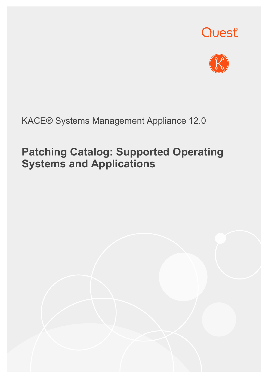



#### KACE® Systems Management Appliance 12.0

## **Patching Catalog: Supported Operating Systems and Applications**

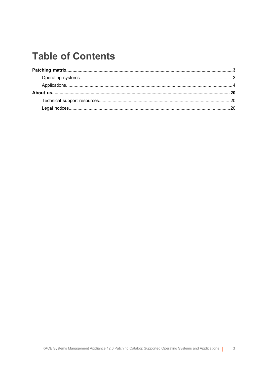### **Table of Contents**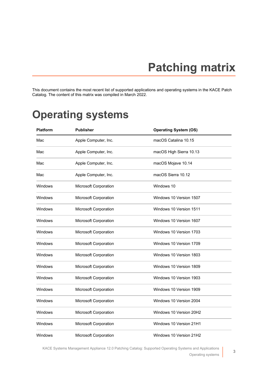# **Patching matrix**

<span id="page-2-0"></span>This document contains the most recent list of supported applications and operating systems in the KACE Patch Catalog. The content of this matrix was compiled in March 2022.

### <span id="page-2-1"></span>**Operating systems**

| Platform | <b>Publisher</b>      | <b>Operating System (OS)</b> |
|----------|-----------------------|------------------------------|
| Mac      | Apple Computer, Inc.  | macOS Catalina 10.15         |
| Mac      | Apple Computer, Inc.  | macOS High Sierra 10.13      |
| Mac      | Apple Computer, Inc.  | macOS Mojave 10.14           |
| Mac      | Apple Computer, Inc.  | macOS Sierra 10.12           |
| Windows  | Microsoft Corporation | Windows 10                   |
| Windows  | Microsoft Corporation | Windows 10 Version 1507      |
| Windows  | Microsoft Corporation | Windows 10 Version 1511      |
| Windows  | Microsoft Corporation | Windows 10 Version 1607      |
| Windows  | Microsoft Corporation | Windows 10 Version 1703      |
| Windows  | Microsoft Corporation | Windows 10 Version 1709      |
| Windows  | Microsoft Corporation | Windows 10 Version 1803      |
| Windows  | Microsoft Corporation | Windows 10 Version 1809      |
| Windows  | Microsoft Corporation | Windows 10 Version 1903      |
| Windows  | Microsoft Corporation | Windows 10 Version 1909      |
| Windows  | Microsoft Corporation | Windows 10 Version 2004      |
| Windows  | Microsoft Corporation | Windows 10 Version 20H2      |
| Windows  | Microsoft Corporation | Windows 10 Version 21H1      |
| Windows  | Microsoft Corporation | Windows 10 Version 21H2      |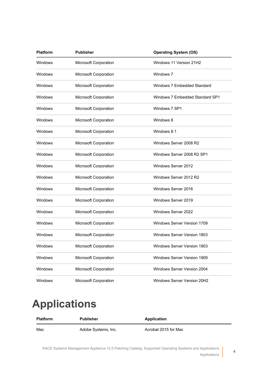| <b>Platform</b> | <b>Publisher</b>      | <b>Operating System (OS)</b>       |
|-----------------|-----------------------|------------------------------------|
| Windows         | Microsoft Corporation | Windows 11 Version 21H2            |
| Windows         | Microsoft Corporation | Windows 7                          |
| Windows         | Microsoft Corporation | Windows 7 Embedded Standard        |
| Windows         | Microsoft Corporation | Windows 7 Embedded Standard SP1    |
| Windows         | Microsoft Corporation | Windows 7 SP1                      |
| Windows         | Microsoft Corporation | Windows 8                          |
| Windows         | Microsoft Corporation | Windows 8.1                        |
| Windows         | Microsoft Corporation | Windows Server 2008 R2             |
| Windows         | Microsoft Corporation | Windows Server 2008 R2 SP1         |
| Windows         | Microsoft Corporation | Windows Server 2012                |
| Windows         | Microsoft Corporation | Windows Server 2012 R2             |
| Windows         | Microsoft Corporation | Windows Server 2016                |
| Windows         | Microsoft Corporation | Windows Server 2019                |
| Windows         | Microsoft Corporation | Windows Server 2022                |
| Windows         | Microsoft Corporation | Windows Server Version 1709        |
| Windows         | Microsoft Corporation | <b>Windows Server Version 1803</b> |
| Windows         | Microsoft Corporation | <b>Windows Server Version 1903</b> |
| Windows         | Microsoft Corporation | <b>Windows Server Version 1909</b> |
| Windows         | Microsoft Corporation | <b>Windows Server Version 2004</b> |
| Windows         | Microsoft Corporation | Windows Server Version 20H2        |

## <span id="page-3-0"></span>**Applications**

| <b>Platform</b> | <b>Publisher</b>    | Application          |
|-----------------|---------------------|----------------------|
| Mac             | Adobe Systems, Inc. | Acrobat 2015 for Mac |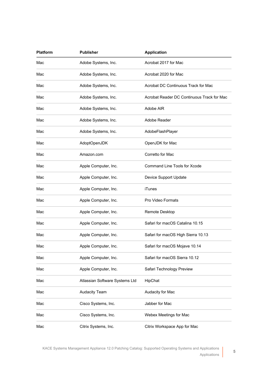| <b>Platform</b> | <b>Publisher</b>               | <b>Application</b>                         |
|-----------------|--------------------------------|--------------------------------------------|
| Mac             | Adobe Systems, Inc.            | Acrobat 2017 for Mac                       |
| Mac             | Adobe Systems, Inc.            | Acrobat 2020 for Mac                       |
| Mac             | Adobe Systems, Inc.            | Acrobat DC Continuous Track for Mac        |
| Mac             | Adobe Systems, Inc.            | Acrobat Reader DC Continuous Track for Mac |
| Mac             | Adobe Systems, Inc.            | Adobe AIR                                  |
| Mac             | Adobe Systems, Inc.            | Adobe Reader                               |
| Mac             | Adobe Systems, Inc.            | AdobeFlashPlayer                           |
| Mac             | AdoptOpenJDK                   | OpenJDK for Mac                            |
| Mac             | Amazon.com                     | Corretto for Mac                           |
| Mac             | Apple Computer, Inc.           | Command Line Tools for Xcode               |
| Mac             | Apple Computer, Inc.           | Device Support Update                      |
| Mac             | Apple Computer, Inc.           | <b>iTunes</b>                              |
| Mac             | Apple Computer, Inc.           | Pro Video Formats                          |
| Mac             | Apple Computer, Inc.           | Remote Desktop                             |
| Mac             | Apple Computer, Inc.           | Safari for macOS Catalina 10.15            |
| Mac             | Apple Computer, Inc.           | Safari for macOS High Sierra 10.13         |
| Mac             | Apple Computer, Inc.           | Safari for macOS Mojave 10.14              |
| Mac             | Apple Computer, Inc.           | Safari for macOS Sierra 10.12              |
| Mac             | Apple Computer, Inc.           | Safari Technology Preview                  |
| Mac             | Atlassian Software Systems Ltd | HipChat                                    |
| Mac             | <b>Audacity Team</b>           | Audacity for Mac                           |
| Mac             | Cisco Systems, Inc.            | Jabber for Mac                             |
| Mac             | Cisco Systems, Inc.            | Webex Meetings for Mac                     |
| Mac             | Citrix Systems, Inc.           | Citrix Workspace App for Mac               |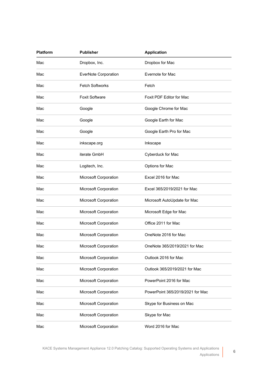| Platform | <b>Publisher</b>       | <b>Application</b>               |
|----------|------------------------|----------------------------------|
| Mac      | Dropbox, Inc.          | Dropbox for Mac                  |
| Mac      | EverNote Corporation   | Evernote for Mac                 |
| Mac      | <b>Fetch Softworks</b> | Fetch                            |
| Mac      | <b>Foxit Software</b>  | Foxit PDF Editor for Mac         |
| Mac      | Google                 | Google Chrome for Mac            |
| Mac      | Google                 | Google Earth for Mac             |
| Mac      | Google                 | Google Earth Pro for Mac         |
| Mac      | inkscape.org           | Inkscape                         |
| Mac      | iterate GmbH           | Cyberduck for Mac                |
| Mac      | Logitech, Inc.         | Options for Mac                  |
| Mac      | Microsoft Corporation  | Excel 2016 for Mac               |
| Mac      | Microsoft Corporation  | Excel 365/2019/2021 for Mac      |
| Mac      | Microsoft Corporation  | Microsoft AutoUpdate for Mac     |
| Mac      | Microsoft Corporation  | Microsoft Edge for Mac           |
| Mac      | Microsoft Corporation  | Office 2011 for Mac              |
| Mac      | Microsoft Corporation  | OneNote 2016 for Mac             |
| Mac      | Microsoft Corporation  | OneNote 365/2019/2021 for Mac    |
| Mac      | Microsoft Corporation  | Outlook 2016 for Mac             |
| Mac      | Microsoft Corporation  | Outlook 365/2019/2021 for Mac    |
| Mac      | Microsoft Corporation  | PowerPoint 2016 for Mac          |
| Mac      | Microsoft Corporation  | PowerPoint 365/2019/2021 for Mac |
| Mac      | Microsoft Corporation  | Skype for Business on Mac        |
| Mac      | Microsoft Corporation  | Skype for Mac                    |
| Mac      | Microsoft Corporation  | Word 2016 for Mac                |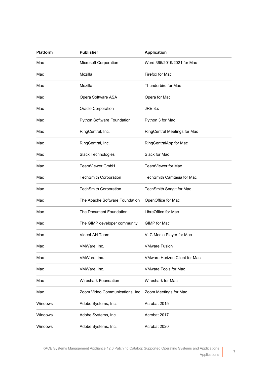| <b>Platform</b> | <b>Publisher</b>                | <b>Application</b>                   |
|-----------------|---------------------------------|--------------------------------------|
| Mac             | Microsoft Corporation           | Word 365/2019/2021 for Mac           |
| Mac             | Mozilla                         | Firefox for Mac                      |
| Mac             | Mozilla                         | Thunderbird for Mac                  |
| Mac             | Opera Software ASA              | Opera for Mac                        |
| Mac             | Oracle Corporation              | JRE 8.x                              |
| Mac             | Python Software Foundation      | Python 3 for Mac                     |
| Mac             | RingCentral, Inc.               | RingCentral Meetings for Mac         |
| Mac             | RingCentral, Inc.               | RingCentralApp for Mac               |
| Mac             | Slack Technologies              | Slack for Mac                        |
| Mac             | TeamViewer GmbH                 | TeamViewer for Mac                   |
| Mac             | <b>TechSmith Corporation</b>    | TechSmith Camtasia for Mac           |
| Mac             | <b>TechSmith Corporation</b>    | TechSmith Snagit for Mac             |
| Mac             | The Apache Software Foundation  | OpenOffice for Mac                   |
| Mac             | The Document Foundation         | LibreOffice for Mac                  |
| Mac             | The GIMP developer community    | GIMP for Mac                         |
| Mac             | <b>VideoLAN Team</b>            | VLC Media Player for Mac             |
| Mac             | VMWare, Inc.                    | <b>VMware Fusion</b>                 |
| Mac             | VMWare, Inc.                    | <b>VMware Horizon Client for Mac</b> |
| Mac             | VMWare, Inc.                    | <b>VMware Tools for Mac</b>          |
| Mac             | Wireshark Foundation            | Wireshark for Mac                    |
| Mac             | Zoom Video Communications, Inc. | Zoom Meetings for Mac                |
| Windows         | Adobe Systems, Inc.             | Acrobat 2015                         |
| Windows         | Adobe Systems, Inc.             | Acrobat 2017                         |
| Windows         | Adobe Systems, Inc.             | Acrobat 2020                         |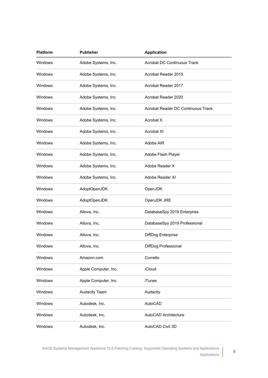| <b>Platform</b> | <b>Publisher</b>     | <b>Application</b>                 |
|-----------------|----------------------|------------------------------------|
| Windows         | Adobe Systems, Inc.  | <b>Acrobat DC Continuous Track</b> |
| Windows         | Adobe Systems, Inc.  | Acrobat Reader 2015                |
| Windows         | Adobe Systems, Inc.  | Acrobat Reader 2017                |
| Windows         | Adobe Systems, Inc.  | Acrobat Reader 2020                |
| Windows         | Adobe Systems, Inc.  | Acrobat Reader DC Continuous Track |
| Windows         | Adobe Systems, Inc.  | Acrobat X                          |
| Windows         | Adobe Systems, Inc.  | Acrobat XI                         |
| Windows         | Adobe Systems, Inc.  | Adobe AIR                          |
| Windows         | Adobe Systems, Inc.  | Adobe Flash Player                 |
| Windows         | Adobe Systems, Inc.  | Adobe Reader X                     |
| Windows         | Adobe Systems, Inc.  | Adobe Reader XI                    |
| Windows         | AdoptOpenJDK         | OpenJDK                            |
| Windows         | AdoptOpenJDK         | OpenJDK JRE                        |
| Windows         | Altova, Inc.         | DatabaseSpy 2019 Enterprise        |
| Windows         | Altova, Inc.         | DatabaseSpy 2019 Professional      |
| Windows         | Altova, Inc.         | DiffDog Enterprise                 |
| Windows         | Altova, Inc.         | DiffDog Professional               |
| Windows         | Amazon.com           | Corretto                           |
| Windows         | Apple Computer, Inc. | iCloud                             |
| Windows         | Apple Computer, Inc. | <b>iTunes</b>                      |
| Windows         | <b>Audacity Team</b> | Audacity                           |
| Windows         | Autodesk, Inc.       | AutoCAD                            |
| Windows         | Autodesk, Inc.       | AutoCAD Architecture               |
| Windows         | Autodesk, Inc.       | AutoCAD Civil 3D                   |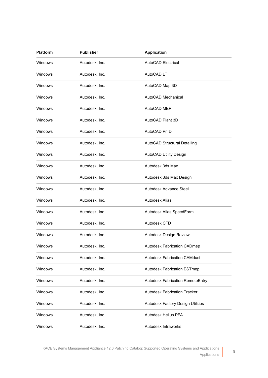| <b>Platform</b> | <b>Publisher</b> | <b>Application</b>                      |
|-----------------|------------------|-----------------------------------------|
| Windows         | Autodesk, Inc.   | <b>AutoCAD Electrical</b>               |
| Windows         | Autodesk, Inc.   | AutoCAD LT                              |
| Windows         | Autodesk, Inc.   | AutoCAD Map 3D                          |
| Windows         | Autodesk, Inc.   | AutoCAD Mechanical                      |
| <b>Windows</b>  | Autodesk, Inc.   | AutoCAD MEP                             |
| Windows         | Autodesk, Inc.   | AutoCAD Plant 3D                        |
| <b>Windows</b>  | Autodesk, Inc.   | AutoCAD PnID                            |
| Windows         | Autodesk, Inc.   | AutoCAD Structural Detailing            |
| <b>Windows</b>  | Autodesk, Inc.   | AutoCAD Utility Design                  |
| Windows         | Autodesk, Inc.   | Autodesk 3ds Max                        |
| Windows         | Autodesk, Inc.   | Autodesk 3ds Max Design                 |
| Windows         | Autodesk, Inc.   | Autodesk Advance Steel                  |
| Windows         | Autodesk, Inc.   | Autodesk Alias                          |
| Windows         | Autodesk, Inc.   | Autodesk Alias SpeedForm                |
| Windows         | Autodesk, Inc.   | Autodesk CFD                            |
| Windows         | Autodesk, Inc.   | Autodesk Design Review                  |
| Windows         | Autodesk, Inc.   | Autodesk Fabrication CADmep             |
| Windows         | Autodesk, Inc.   | <b>Autodesk Fabrication CAMduct</b>     |
| Windows         | Autodesk, Inc.   | <b>Autodesk Fabrication ESTmep</b>      |
| Windows         | Autodesk, Inc.   | <b>Autodesk Fabrication RemoteEntry</b> |
| Windows         | Autodesk, Inc.   | <b>Autodesk Fabrication Tracker</b>     |
| Windows         | Autodesk, Inc.   | Autodesk Factory Design Utilities       |
| Windows         | Autodesk, Inc.   | Autodesk Helius PFA                     |
| Windows         | Autodesk, Inc.   | Autodesk Infraworks                     |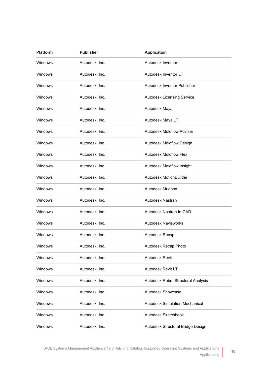| <b>Platform</b> | <b>Publisher</b> | <b>Application</b>                    |
|-----------------|------------------|---------------------------------------|
| Windows         | Autodesk, Inc.   | Autodesk Inventor                     |
| Windows         | Autodesk, Inc.   | Autodesk Inventor LT                  |
| Windows         | Autodesk, Inc.   | Autodesk Inventor Publisher           |
| Windows         | Autodesk, Inc.   | Autodesk Licensing Service            |
| <b>Windows</b>  | Autodesk, Inc.   | Autodesk Maya                         |
| Windows         | Autodesk, Inc.   | Autodesk Maya LT                      |
| <b>Windows</b>  | Autodesk, Inc.   | <b>Autodesk Moldflow Adviser</b>      |
| Windows         | Autodesk, Inc.   | Autodesk Moldflow Design              |
| <b>Windows</b>  | Autodesk, Inc.   | <b>Autodesk Moldflow Flex</b>         |
| Windows         | Autodesk, Inc.   | Autodesk Moldflow Insight             |
| Windows         | Autodesk, Inc.   | Autodesk MotionBuilder                |
| Windows         | Autodesk, Inc.   | Autodesk Mudbox                       |
| Windows         | Autodesk, Inc.   | Autodesk Nastran                      |
| Windows         | Autodesk, Inc.   | Autodesk Nastran In-CAD               |
| Windows         | Autodesk, Inc.   | <b>Autodesk Navisworks</b>            |
| Windows         | Autodesk, Inc.   | Autodesk Recap                        |
| Windows         | Autodesk, Inc.   | Autodesk Recap Photo                  |
| Windows         | Autodesk, Inc.   | Autodesk Revit                        |
| Windows         | Autodesk, Inc.   | Autodesk Revit LT                     |
| Windows         | Autodesk, Inc.   | Autodesk Robot Structural Analysis    |
| Windows         | Autodesk, Inc.   | Autodesk Showcase                     |
| Windows         | Autodesk, Inc.   | <b>Autodesk Simulation Mechanical</b> |
| Windows         | Autodesk, Inc.   | Autodesk Sketchbook                   |
| Windows         | Autodesk, Inc.   | Autodesk Structural Bridge Design     |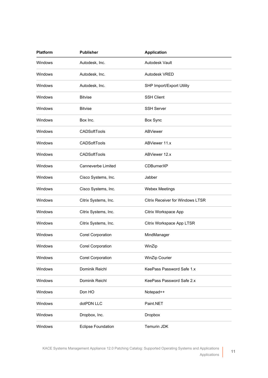| <b>Platform</b> | <b>Publisher</b>          | <b>Application</b>                      |
|-----------------|---------------------------|-----------------------------------------|
| Windows         | Autodesk, Inc.            | Autodesk Vault                          |
| Windows         | Autodesk, Inc.            | Autodesk VRED                           |
| Windows         | Autodesk, Inc.            | SHP Import/Export Utility               |
| Windows         | <b>Bitvise</b>            | <b>SSH Client</b>                       |
| Windows         | <b>Bitvise</b>            | <b>SSH Server</b>                       |
| Windows         | Box Inc.                  | Box Sync                                |
| <b>Windows</b>  | <b>CADSoftTools</b>       | <b>ABViewer</b>                         |
| Windows         | <b>CADSoftTools</b>       | ABViewer 11.x                           |
| Windows         | <b>CADSoftTools</b>       | ABViewer 12.x                           |
| <b>Windows</b>  | Canneverbe Limited        | CDBurnerXP                              |
| <b>Windows</b>  | Cisco Systems, Inc.       | Jabber                                  |
| <b>Windows</b>  | Cisco Systems, Inc.       | <b>Webex Meetings</b>                   |
| <b>Windows</b>  | Citrix Systems, Inc.      | <b>Citrix Receiver for Windows LTSR</b> |
| Windows         | Citrix Systems, Inc.      | Citrix Workspace App                    |
| Windows         | Citrix Systems, Inc.      | Citrix Workspace App LTSR               |
| Windows         | Corel Corporation         | MindManager                             |
| Windows         | <b>Corel Corporation</b>  | WinZip                                  |
| Windows         | Corel Corporation         | WinZip Courier                          |
| Windows         | Dominik Reichl            | KeePass Password Safe 1.x               |
| Windows         | Dominik Reichl            | KeePass Password Safe 2.x               |
| Windows         | Don HO                    | Notepad++                               |
| Windows         | dotPDN LLC                | Paint.NET                               |
| Windows         | Dropbox, Inc.             | Dropbox                                 |
| Windows         | <b>Eclipse Foundation</b> | Temurin JDK                             |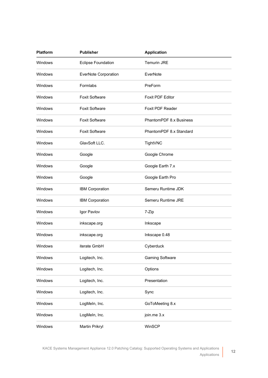| <b>Platform</b> | <b>Publisher</b>            | <b>Application</b>      |  |
|-----------------|-----------------------------|-------------------------|--|
| Windows         | <b>Eclipse Foundation</b>   | Temurin JRE             |  |
| <b>Windows</b>  | <b>EverNote Corporation</b> | EverNote                |  |
| <b>Windows</b>  | Formlabs                    | PreForm                 |  |
| Windows         | <b>Foxit Software</b>       | <b>Foxit PDF Editor</b> |  |
| <b>Windows</b>  | <b>Foxit Software</b>       | Foxit PDF Reader        |  |
| <b>Windows</b>  | <b>Foxit Software</b>       | PhantomPDF 8.x Business |  |
| Windows         | <b>Foxit Software</b>       | PhantomPDF 8.x Standard |  |
| Windows         | GlavSoft LLC.               | TightVNC                |  |
| Windows         | Google                      | Google Chrome           |  |
| Windows         | Google                      | Google Earth 7.x        |  |
| Windows         | Google                      | Google Earth Pro        |  |
| Windows         | <b>IBM Corporation</b>      | Semeru Runtime JDK      |  |
| <b>Windows</b>  | IBM Corporation             | Semeru Runtime JRE      |  |
| Windows         | Igor Pavlov                 | 7-Zip                   |  |
| Windows         | inkscape.org                | Inkscape                |  |
| Windows         | inkscape.org                | Inkscape 0.48           |  |
| Windows         | iterate GmbH                | Cyberduck               |  |
| Windows         | Logitech, Inc.              | <b>Gaming Software</b>  |  |
| Windows         | Logitech, Inc.              | Options                 |  |
| Windows         | Logitech, Inc.              | Presentation            |  |
| Windows         | Logitech, Inc.              | Sync                    |  |
| Windows         | LogMeln, Inc.               | GoToMeeting 8.x         |  |
| Windows         | LogMeln, Inc.               | join.me 3.x             |  |
| Windows         | Martin Prikryl              | WinSCP                  |  |

**12**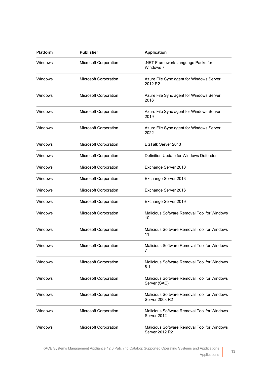| <b>Platform</b> | <b>Publisher</b>      | <b>Application</b>                                                   |
|-----------------|-----------------------|----------------------------------------------------------------------|
| Windows         | Microsoft Corporation | .NET Framework Language Packs for<br>Windows 7                       |
| Windows         | Microsoft Corporation | Azure File Sync agent for Windows Server<br>2012 R2                  |
| Windows         | Microsoft Corporation | Azure File Sync agent for Windows Server<br>2016                     |
| Windows         | Microsoft Corporation | Azure File Sync agent for Windows Server<br>2019                     |
| Windows         | Microsoft Corporation | Azure File Sync agent for Windows Server<br>2022                     |
| Windows         | Microsoft Corporation | BizTalk Server 2013                                                  |
| Windows         | Microsoft Corporation | Definition Update for Windows Defender                               |
| Windows         | Microsoft Corporation | Exchange Server 2010                                                 |
| Windows         | Microsoft Corporation | Exchange Server 2013                                                 |
| Windows         | Microsoft Corporation | Exchange Server 2016                                                 |
| Windows         | Microsoft Corporation | Exchange Server 2019                                                 |
| Windows         | Microsoft Corporation | Malicious Software Removal Tool for Windows<br>10                    |
| Windows         | Microsoft Corporation | Malicious Software Removal Tool for Windows<br>11                    |
| Windows         | Microsoft Corporation | Malicious Software Removal Tool for Windows                          |
| Windows         | Microsoft Corporation | Malicious Software Removal Tool for Windows<br>8.1                   |
| Windows         | Microsoft Corporation | Malicious Software Removal Tool for Windows<br>Server (SAC)          |
| Windows         | Microsoft Corporation | Malicious Software Removal Tool for Windows<br><b>Server 2008 R2</b> |
| Windows         | Microsoft Corporation | Malicious Software Removal Tool for Windows<br>Server 2012           |
| Windows         | Microsoft Corporation | Malicious Software Removal Tool for Windows<br>Server 2012 R2        |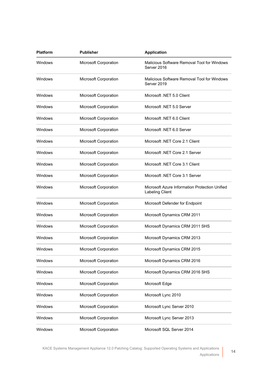| <b>Platform</b> | <b>Publisher</b>             | <b>Application</b>                                                       |
|-----------------|------------------------------|--------------------------------------------------------------------------|
| Windows         | Microsoft Corporation        | Malicious Software Removal Tool for Windows<br>Server 2016               |
| Windows         | Microsoft Corporation        | Malicious Software Removal Tool for Windows<br>Server 2019               |
| Windows         | Microsoft Corporation        | Microsoft .NET 5.0 Client                                                |
| Windows         | <b>Microsoft Corporation</b> | Microsoft .NET 5.0 Server                                                |
| Windows         | Microsoft Corporation        | Microsoft .NET 6.0 Client                                                |
| Windows         | Microsoft Corporation        | Microsoft .NET 6.0 Server                                                |
| Windows         | <b>Microsoft Corporation</b> | Microsoft .NET Core 2.1 Client                                           |
| Windows         | Microsoft Corporation        | Microsoft .NET Core 2.1 Server                                           |
| Windows         | Microsoft Corporation        | Microsoft .NET Core 3.1 Client                                           |
| Windows         | <b>Microsoft Corporation</b> | Microsoft .NET Core 3.1 Server                                           |
| Windows         | Microsoft Corporation        | Microsoft Azure Information Protection Unified<br><b>Labeling Client</b> |
| Windows         | Microsoft Corporation        | Microsoft Defender for Endpoint                                          |
| Windows         | Microsoft Corporation        | Microsoft Dynamics CRM 2011                                              |
| Windows         | Microsoft Corporation        | Microsoft Dynamics CRM 2011 SHS                                          |
| Windows         | Microsoft Corporation        | Microsoft Dynamics CRM 2013                                              |
| Windows         | Microsoft Corporation        | Microsoft Dynamics CRM 2015                                              |
| Windows         | Microsoft Corporation        | Microsoft Dynamics CRM 2016                                              |
| Windows         | Microsoft Corporation        | Microsoft Dynamics CRM 2016 SHS                                          |
| Windows         | Microsoft Corporation        | Microsoft Edge                                                           |
| Windows         | Microsoft Corporation        | Microsoft Lync 2010                                                      |
| Windows         | Microsoft Corporation        | Microsoft Lync Server 2010                                               |
| Windows         | Microsoft Corporation        | Microsoft Lync Server 2013                                               |
| Windows         | Microsoft Corporation        | Microsoft SQL Server 2014                                                |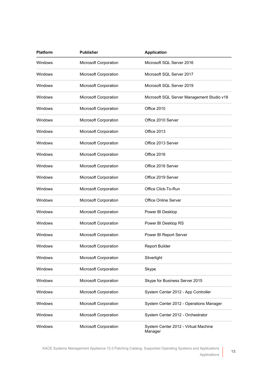| <b>Platform</b> | <b>Publisher</b>      | <b>Application</b>                              |
|-----------------|-----------------------|-------------------------------------------------|
| Windows         | Microsoft Corporation | Microsoft SQL Server 2016                       |
| Windows         | Microsoft Corporation | Microsoft SQL Server 2017                       |
| Windows         | Microsoft Corporation | Microsoft SQL Server 2019                       |
| Windows         | Microsoft Corporation | Microsoft SQL Server Management Studio v18      |
| Windows         | Microsoft Corporation | Office 2010                                     |
| Windows         | Microsoft Corporation | Office 2010 Server                              |
| Windows         | Microsoft Corporation | Office 2013                                     |
| Windows         | Microsoft Corporation | Office 2013 Server                              |
| Windows         | Microsoft Corporation | Office 2016                                     |
| Windows         | Microsoft Corporation | Office 2016 Server                              |
| Windows         | Microsoft Corporation | Office 2019 Server                              |
| Windows         | Microsoft Corporation | Office Click-To-Run                             |
| Windows         | Microsoft Corporation | <b>Office Online Server</b>                     |
| Windows         | Microsoft Corporation | Power BI Desktop                                |
| Windows         | Microsoft Corporation | Power BI Desktop RS                             |
| Windows         | Microsoft Corporation | Power BI Report Server                          |
| Windows         | Microsoft Corporation | <b>Report Builder</b>                           |
| <b>Windows</b>  | Microsoft Corporation | Silverlight                                     |
| Windows         | Microsoft Corporation | Skype                                           |
| Windows         | Microsoft Corporation | Skype for Business Server 2015                  |
| Windows         | Microsoft Corporation | System Center 2012 - App Controller             |
| Windows         | Microsoft Corporation | System Center 2012 - Operations Manager         |
| Windows         | Microsoft Corporation | System Center 2012 - Orchestrator               |
| Windows         | Microsoft Corporation | System Center 2012 - Virtual Machine<br>Manager |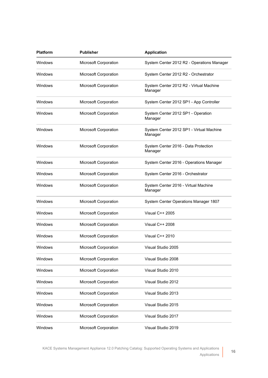| Platform | <b>Publisher</b>      | <b>Application</b>                                  |
|----------|-----------------------|-----------------------------------------------------|
| Windows  | Microsoft Corporation | System Center 2012 R2 - Operations Manager          |
| Windows  | Microsoft Corporation | System Center 2012 R2 - Orchestrator                |
| Windows  | Microsoft Corporation | System Center 2012 R2 - Virtual Machine<br>Manager  |
| Windows  | Microsoft Corporation | System Center 2012 SP1 - App Controller             |
| Windows  | Microsoft Corporation | System Center 2012 SP1 - Operation<br>Manager       |
| Windows  | Microsoft Corporation | System Center 2012 SP1 - Virtual Machine<br>Manager |
| Windows  | Microsoft Corporation | System Center 2016 - Data Protection<br>Manager     |
| Windows  | Microsoft Corporation | System Center 2016 - Operations Manager             |
| Windows  | Microsoft Corporation | System Center 2016 - Orchestrator                   |
| Windows  | Microsoft Corporation | System Center 2016 - Virtual Machine<br>Manager     |
| Windows  | Microsoft Corporation | System Center Operations Manager 1807               |
| Windows  | Microsoft Corporation | Visual C++ 2005                                     |
| Windows  | Microsoft Corporation | Visual C++ 2008                                     |
| Windows  | Microsoft Corporation | Visual C++ 2010                                     |
| Windows  | Microsoft Corporation | Visual Studio 2005                                  |
| Windows  | Microsoft Corporation | Visual Studio 2008                                  |
| Windows  | Microsoft Corporation | Visual Studio 2010                                  |
| Windows  | Microsoft Corporation | Visual Studio 2012                                  |
| Windows  | Microsoft Corporation | Visual Studio 2013                                  |
| Windows  | Microsoft Corporation | Visual Studio 2015                                  |
| Windows  | Microsoft Corporation | Visual Studio 2017                                  |
| Windows  | Microsoft Corporation | Visual Studio 2019                                  |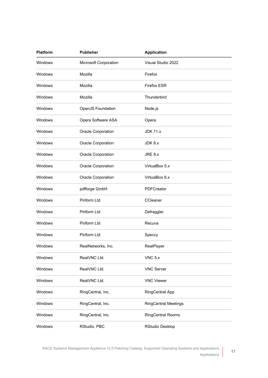| <b>Platform</b> | <b>Publisher</b>      | <b>Application</b>          |  |
|-----------------|-----------------------|-----------------------------|--|
| Windows         | Microsoft Corporation | Visual Studio 2022          |  |
| <b>Windows</b>  | Mozilla               | Firefox                     |  |
| <b>Windows</b>  | Mozilla               | <b>Firefox ESR</b>          |  |
| Windows         | Mozilla               | Thunderbird                 |  |
| <b>Windows</b>  | OpenJS Foundation     | Node.js                     |  |
| <b>Windows</b>  | Opera Software ASA    | Opera                       |  |
| <b>Windows</b>  | Oracle Corporation    | <b>JDK 11.x</b>             |  |
| Windows         | Oracle Corporation    | JDK 8.x                     |  |
| Windows         | Oracle Corporation    | JRE 8.x                     |  |
| Windows         | Oracle Corporation    | VirtualBox 5.x              |  |
| Windows         | Oracle Corporation    | VirtualBox 6.x              |  |
| Windows         | pdfforge GmbH         | PDFCreator                  |  |
| <b>Windows</b>  | Piriform Ltd          | CCleaner                    |  |
| Windows         | Piriform Ltd          | Defraggler                  |  |
| Windows         | Piriform Ltd          | Recuva                      |  |
| Windows         | Piriform Ltd          | Speccy                      |  |
| Windows         | RealNetworks, Inc.    | RealPlayer                  |  |
| Windows         | RealVNC Ltd.          | $VNC$ 5. $x$                |  |
| Windows         | RealVNC Ltd.          | <b>VNC Server</b>           |  |
| Windows         | RealVNC Ltd.          | <b>VNC Viewer</b>           |  |
| Windows         | RingCentral, Inc.     | <b>RingCentral App</b>      |  |
| Windows         | RingCentral, Inc.     | <b>RingCentral Meetings</b> |  |
| Windows         | RingCentral, Inc.     | <b>RingCentral Rooms</b>    |  |
| Windows         | RStudio, PBC          | <b>RStudio Desktop</b>      |  |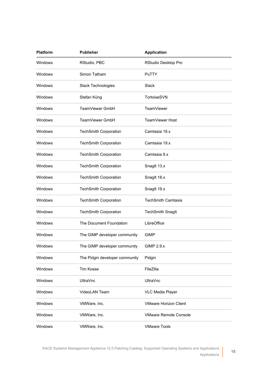| <b>Platform</b> | <b>Publisher</b>               | <b>Application</b>           |
|-----------------|--------------------------------|------------------------------|
| Windows         | RStudio, PBC                   | RStudio Desktop Pro          |
| Windows         | Simon Tatham                   | PuTTY                        |
| Windows         | Slack Technologies             | Slack                        |
| Windows         | Stefan Küng                    | TortoiseSVN                  |
| Windows         | TeamViewer GmbH                | TeamViewer                   |
| Windows         | TeamViewer GmbH                | TeamViewer Host              |
| Windows         | <b>TechSmith Corporation</b>   | Camtasia 18.x                |
| Windows         | <b>TechSmith Corporation</b>   | Camtasia 19.x                |
| Windows         | <b>TechSmith Corporation</b>   | Camtasia 9.x                 |
| Windows         | <b>TechSmith Corporation</b>   | Snaglt 13.x                  |
| Windows         | <b>TechSmith Corporation</b>   | Snaglt 18.x                  |
| Windows         | <b>TechSmith Corporation</b>   | Snaglt 19.x                  |
| Windows         | <b>TechSmith Corporation</b>   | <b>TechSmith Camtasia</b>    |
| Windows         | <b>TechSmith Corporation</b>   | <b>TechSmith Snaglt</b>      |
| Windows         | The Document Foundation        | LibreOffice                  |
| Windows         | The GIMP developer community   | <b>GIMP</b>                  |
| Windows         | The GIMP developer community   | <b>GIMP 2.9.x</b>            |
| Windows         | The Pidgin developer community | Pidgin                       |
| Windows         | <b>Tim Kosse</b>               | FileZilla                    |
| Windows         | <b>UltraVnc</b>                | <b>UltraVnc</b>              |
| Windows         | VideoLAN Team                  | <b>VLC Media Player</b>      |
| Windows         | VMWare, Inc.                   | <b>VMware Horizon Client</b> |
| Windows         | VMWare, Inc.                   | <b>VMware Remote Console</b> |
| Windows         | VMWare, Inc.                   | <b>VMware Tools</b>          |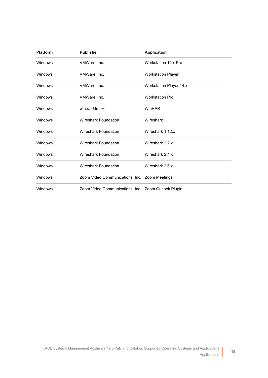| <b>Platform</b> | <b>Publisher</b>                                    | <b>Application</b>             |
|-----------------|-----------------------------------------------------|--------------------------------|
| Windows         | VMWare, Inc.                                        | Workstation 14.x Pro           |
| Windows         | VMWare, Inc.                                        | <b>Workstation Player</b>      |
| Windows         | VMWare, Inc.                                        | <b>Workstation Player 14.x</b> |
| Windows         | VMWare, Inc.                                        | <b>Workstation Pro</b>         |
| Windows         | win.rar GmbH                                        | WinRAR                         |
| Windows         | Wireshark Foundation                                | Wireshark                      |
| Windows         | Wireshark Foundation                                | Wireshark 1.12.x               |
| Windows         | <b>Wireshark Foundation</b>                         | Wireshark 2.2.x                |
| Windows         | <b>Wireshark Foundation</b>                         | Wireshark 2.4.x                |
| Windows         | Wireshark Foundation                                | Wireshark 2.6.x                |
| Windows         | Zoom Video Communications, Inc. Zoom Meetings       |                                |
| Windows         | Zoom Video Communications, Inc. Zoom Outlook Plugin |                                |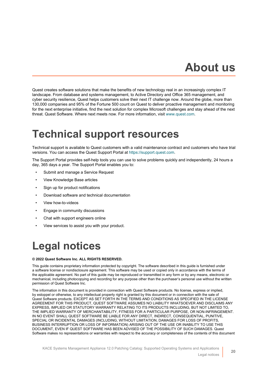## **About us**

<span id="page-19-0"></span>Quest creates software solutions that make the benefits of new technology real in an increasingly complex IT landscape. From database and systems management, to Active Directory and Office 365 management, and cyber security resilience, Quest helps customers solve their next IT challenge now. Around the globe, more than 130,000 companies and 95% of the Fortune 500 count on Quest to deliver proactive management and monitoring for the next enterprise initiative, find the next solution for complex Microsoft challenges and stay ahead of the next threat. Quest Software. Where next meets now. For more information, visit [www.quest.com.](https://www.quest.com/company/contact-us.aspx)

### <span id="page-19-1"></span>**Technical support resources**

Technical support is available to Quest customers with a valid maintenance contract and customers who have trial versions. You can access the Quest Support Portal at [https://support.quest.com.](https://support.quest.com/)

The Support Portal provides self-help tools you can use to solve problems quickly and independently, 24 hours a day, 365 days a year. The Support Portal enables you to:

- Submit and manage a Service Request
- View Knowledge Base articles
- Sign up for product notifications
- Download software and technical documentation
- View how-to-videos
- Engage in community discussions
- Chat with support engineers online
- View services to assist you with your product.

## <span id="page-19-2"></span>**Legal notices**

#### **© 2022 Quest Software Inc. ALL RIGHTS RESERVED.**

This guide contains proprietary information protected by copyright. The software described in this guide is furnished under a software license or nondisclosure agreement. This software may be used or copied only in accordance with the terms of the applicable agreement. No part of this guide may be reproduced or transmitted in any form or by any means, electronic or mechanical, including photocopying and recording for any purpose other than the purchaser's personal use without the written permission of Quest Software Inc.

The information in this document is provided in connection with Quest Software products. No license, express or implied, by estoppel or otherwise, to any intellectual property right is granted by this document or in connection with the sale of Quest Software products. EXCEPT AS SET FORTH IN THE TERMS AND CONDITIONS AS SPECIFIED IN THE LICENSE AGREEMENT FOR THIS PRODUCT, QUEST SOFTWARE ASSUMES NO LIABILITY WHATSOEVER AND DISCLAIMS ANY EXPRESS, IMPLIED OR STATUTORY WARRANTY RELATING TO ITS PRODUCTS INCLUDING, BUT NOT LIMITED TO, THE IMPLIED WARRANTY OF MERCHANTABILITY, FITNESS FOR A PARTICULAR PURPOSE, OR NON-INFRINGEMENT. IN NO EVENT SHALL QUEST SOFTWARE BE LIABLE FOR ANY DIRECT, INDIRECT, CONSEQUENTIAL, PUNITIVE, SPECIAL OR INCIDENTAL DAMAGES (INCLUDING, WITHOUT LIMITATION, DAMAGES FOR LOSS OF PROFITS, BUSINESS INTERRUPTION OR LOSS OF INFORMATION) ARISING OUT OF THE USE OR INABILITY TO USE THIS DOCUMENT, EVEN IF QUEST SOFTWARE HAS BEEN ADVISED OF THE POSSIBILITY OF SUCH DAMAGES. Quest Software makes no representations or warranties with respect to the accuracy or completeness of the contents of this document